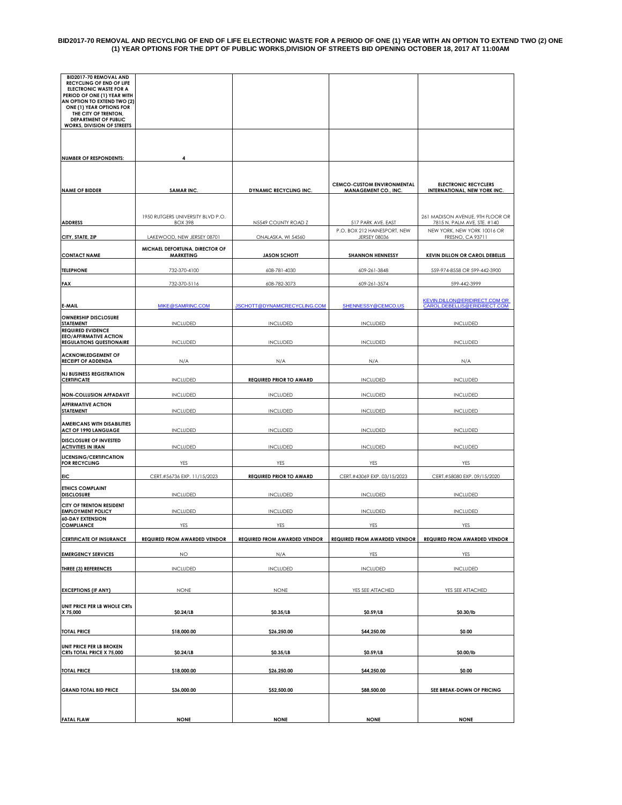#### **BID2017-70 REMOVAL AND RECYCLING OF END OF LIFE ELECTRONIC WASTE FOR A PERIOD OF ONE (1) YEAR WITH AN OPTION TO EXTEND TWO (2) ONE (1) YEAR OPTIONS FOR THE DPT OF PUBLIC WORKS,DIVISION OF STREETS BID OPENING OCTOBER 18, 2017 AT 11:00AM**

| <b>FATAL FLAW</b>                                                                                                                                   | <b>NONE</b>                                         | <b>NONE</b>                         | <b>NONE</b>                                                      | <b>NONE</b>                                                                                    |
|-----------------------------------------------------------------------------------------------------------------------------------------------------|-----------------------------------------------------|-------------------------------------|------------------------------------------------------------------|------------------------------------------------------------------------------------------------|
|                                                                                                                                                     |                                                     |                                     |                                                                  |                                                                                                |
| <b>GRAND TOTAL BID PRICE</b>                                                                                                                        | \$18,000.00<br>\$36,000.00                          | \$52,500.00                         | \$88,500.00                                                      | SEE BREAK-DOWN OF PRICING                                                                      |
| CRTs TOTAL PRICE X 75,000<br><b>TOTAL PRICE</b>                                                                                                     | \$0.24/LB                                           | \$0.35/LB<br>\$26,250.00            | \$0.59/LB<br>\$44,250.00                                         | \$0.00/lb<br>\$0.00                                                                            |
| UNIT PRICE PER LB BROKEN                                                                                                                            |                                                     |                                     |                                                                  |                                                                                                |
| <b>TOTAL PRICE</b>                                                                                                                                  | \$18,000.00                                         | \$26,250.00                         | \$44,250.00                                                      | \$0.00                                                                                         |
| UNIT PRICE PER LB WHOLE CRTs<br>X 75,000                                                                                                            | \$0.24/LB                                           | \$0.35/LB                           | \$0.59/LB                                                        | \$0.30/lb                                                                                      |
| <b>EXCEPTIONS (IF ANY)</b>                                                                                                                          | <b>NONE</b>                                         | <b>NONE</b>                         | YES SEE ATTACHED                                                 | YES SEE ATTACHED                                                                               |
| <b>THREE (3) REFERENCES</b>                                                                                                                         | <b>INCLUDED</b>                                     | <b>INCLUDED</b>                     | <b>INCLUDED</b>                                                  | <b>INCLUDED</b>                                                                                |
| <b>EMERGENCY SERVICES</b>                                                                                                                           | <b>NO</b>                                           | N/A                                 | YES                                                              | YES                                                                                            |
| <b>CERTIFICATE OF INSURANCE</b>                                                                                                                     | <b>REQUIRED FROM AWARDED VENDOR</b>                 | <b>REQUIRED FROM AWARDED VENDOR</b> | <b>REQUIRED FROM AWARDED VENDOR</b>                              | <b>REQUIRED FROM AWARDED VENDOR</b>                                                            |
| <b>60-DAY EXTENSION</b><br><b>COMPLIANCE</b>                                                                                                        | YES                                                 | YES                                 | YES                                                              | YES                                                                                            |
| CITY OF TRENTON RESIDENT<br><b>EMPLOYMENT POLICY</b>                                                                                                | <b>INCLUDED</b>                                     | <b>INCLUDED</b>                     | <b>INCLUDED</b>                                                  | <b>INCLUDED</b>                                                                                |
| <b>ETHICS COMPLAINT</b><br><b>DISCLOSURE</b>                                                                                                        | <b>INCLUDED</b>                                     | <b>INCLUDED</b>                     | <b>INCLUDED</b>                                                  | <b>INCLUDED</b>                                                                                |
| <b>EIC</b>                                                                                                                                          | CERT.#56736 EXP. 11/15/2023                         | <b>REQUIRED PRIOR TO AWARD</b>      | CERT.#43069 EXP. 03/15/2023                                      | CERT.#58080 EXP. 09/15/2020                                                                    |
| <b>LICENSING/CERTIFICATION</b><br><b>FOR RECYCLING</b>                                                                                              | YES                                                 | YES                                 | YES                                                              | YES                                                                                            |
| <b>DISCLOSURE OF INVESTED</b><br><b>ACTIVITIES IN IRAN</b>                                                                                          | <b>INCLUDED</b>                                     | <b>INCLUDED</b>                     | <b>INCLUDED</b>                                                  | <b>INCLUDED</b>                                                                                |
| <b>AMERICANS WITH DISABILITIES</b><br><b>ACT OF 1990 LANGUAGE</b>                                                                                   | <b>INCLUDED</b>                                     | <b>INCLUDED</b>                     | <b>INCLUDED</b>                                                  | <b>INCLUDED</b>                                                                                |
| <b>AFFIRMATIVE ACTION</b><br>STATEMENT                                                                                                              | <b>INCLUDED</b>                                     | <b>INCLUDED</b>                     | <b>INCLUDED</b>                                                  | <b>INCLUDED</b>                                                                                |
| <b>NON-COLLUSION AFFADAVIT</b>                                                                                                                      | <b>INCLUDED</b>                                     | <b>INCLUDED</b>                     | <b>INCLUDED</b>                                                  | <b>INCLUDED</b>                                                                                |
| <b>NJ BUSINESS REGISTRATION</b><br><b>CERTIFICATE</b>                                                                                               | <b>INCLUDED</b>                                     | <b>REQUIRED PRIOR TO AWARD</b>      | <b>INCLUDED</b>                                                  | <b>INCLUDED</b>                                                                                |
| <b>ACKNOWLEDGEMENT OF</b><br><b>RECEIPT OF ADDENDA</b>                                                                                              | N/A                                                 | N/A                                 | N/A                                                              | N/A                                                                                            |
| <b>EEO/AFFIRMATIVE ACTION</b><br><b>REGULATIONS QUESTIONAIRE</b>                                                                                    | <b>INCLUDED</b>                                     | <b>INCLUDED</b>                     | <b>INCLUDED</b>                                                  | <b>INCLUDED</b>                                                                                |
| <b>OWNERSHIP DISCLOSURE</b><br><b>STATEMENT</b><br><b>REQUIRED EVIDENCE</b>                                                                         | <b>INCLUDED</b>                                     | <b>INCLUDED</b>                     | <b>INCLUDED</b>                                                  | <b>INCLUDED</b>                                                                                |
| E-MAIL                                                                                                                                              | MIKE@SAMRINC.COM                                    | <u>JSCHOTT@DYNAMICRECYCLING.COM</u> | SHENNESSY@CEMCO.US                                               | KEVIN.DILLON@ERIDIRECT.COM OR_<br>CAROL.DEBELLIS@ERIDIRECT.COM                                 |
| <b>FAX</b>                                                                                                                                          | 732-370-5116                                        | 608-782-3073                        | 609-261-3574                                                     | 599-442-3999                                                                                   |
| <b>TELEPHONE</b>                                                                                                                                    | 732-370-4100                                        | 608-781-4030                        | 609-261-3848                                                     | 559-974-8558 OR 599-442-3900                                                                   |
| <b>CONTACT NAME</b>                                                                                                                                 | MICHAEL DEFORTUNA, DIRECTOR OF<br><b>MARKETING</b>  | <b>JASON SCHOTT</b>                 | <b>SHANNON HENNESSY</b>                                          | <b>KEVIN DILLON OR CAROL DEBELLIS</b>                                                          |
| CITY, STATE, ZIP                                                                                                                                    | LAKEWOOD, NEW JERSEY 08701                          | ONALASKA, WI 54560                  | JERSEY 08036                                                     | FRESNO, CA 93711                                                                               |
| <b>ADDRESS</b>                                                                                                                                      | 1950 RUTGERS UNIVERSITY BLVD P.O.<br><b>BOX 398</b> | N5549 COUNTY ROAD Z                 | 517 PARK AVE. EAST<br>P.O. BOX 212 HAINESPORT, NEW               | 261 MADISON AVENUE, 9TH FLOOR OR<br>7815 N. PALM AVE, STE. #140<br>NEW YORK, NEW YORK 10016 OR |
| <b>NAME OF BIDDER</b>                                                                                                                               | <b>SAMAR INC.</b>                                   | <b>DYNAMIC RECYCLING INC.</b>       | <b>CEMCO-CUSTOM ENVIRONMENTAL</b><br><b>MANAGEMENT CO., INC.</b> | <b>ELECTRONIC RECYCLERS</b><br><b>INTERNATIONAL, NEW YORK INC.</b>                             |
| <b>NUMBER OF RESPONDENTS:</b>                                                                                                                       |                                                     |                                     |                                                                  |                                                                                                |
|                                                                                                                                                     |                                                     |                                     |                                                                  |                                                                                                |
| AN OPTION TO EXTEND TWO (2)<br>ONE (1) YEAR OPTIONS FOR<br>THE CITY OF TRENTON,<br><b>DEPARTMENT OF PUBLIC</b><br><b>WORKS, DIVISION OF STREETS</b> |                                                     |                                     |                                                                  |                                                                                                |
| BID2017-70 REMOVAL AND<br>RECYCLING OF END OF LIFE<br>ELECTRONIC WASTE FOR A<br>PERIOD OF ONE (1) YEAR WITH                                         |                                                     |                                     |                                                                  |                                                                                                |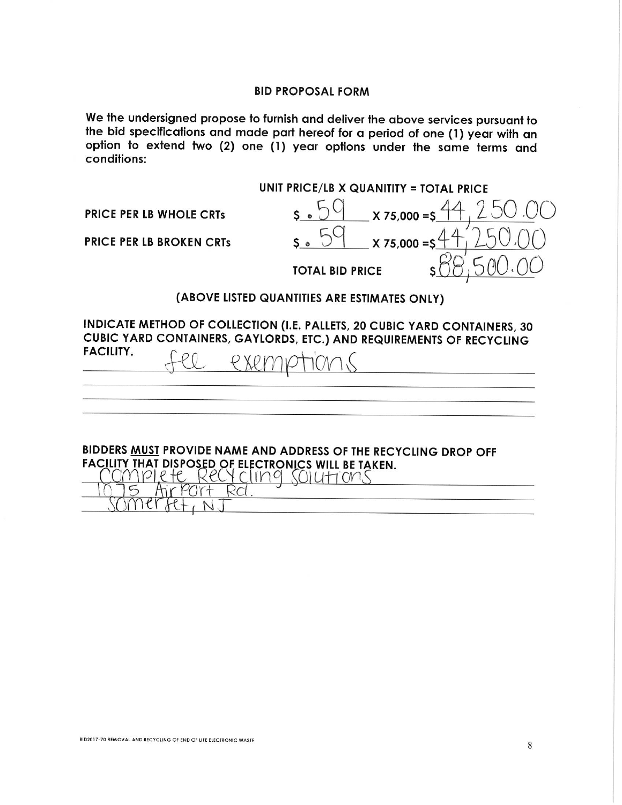### **BID PROPOSAL FORM**

We the undersigned propose to furnish and deliver the above services pursuant to the bid specifications and made part hereof for a period of one (1) year with an option to extend two (2) one (1) year options under the same terms and conditions:

**UNIT PRICE/LB X QUANITITY = TOTAL PRICE**  $5.59$  x 75,000 =  $\frac{4}{3}$ **PRICE PER LB WHOLE CRTs**  $X 75.000 = S'$ **PRICE PER LB BROKEN CRTS TOTAL BID PRICE** 

# (ABOVE LISTED QUANTITIES ARE ESTIMATES ONLY)

INDICATE METHOD OF COLLECTION (I.E. PALLETS, 20 CUBIC YARD CONTAINERS, 30 CUBIC YARD CONTAINERS, GAYLORDS, ETC.) AND REQUIREMENTS OF RECYCLING **FACILITY.**  $PXYD$ 

BIDDERS MUST PROVIDE NAME AND ADDRESS OF THE RECYCLING DROP OFF FACILITY THAT DISPOSED OF ELECTRONICS WILL BE TAKEN. <u>IMPILIE RECYCLING SOLUTIONS</u>

Air Port

 $M$ er $R$ t $\cdot$ n

Rd.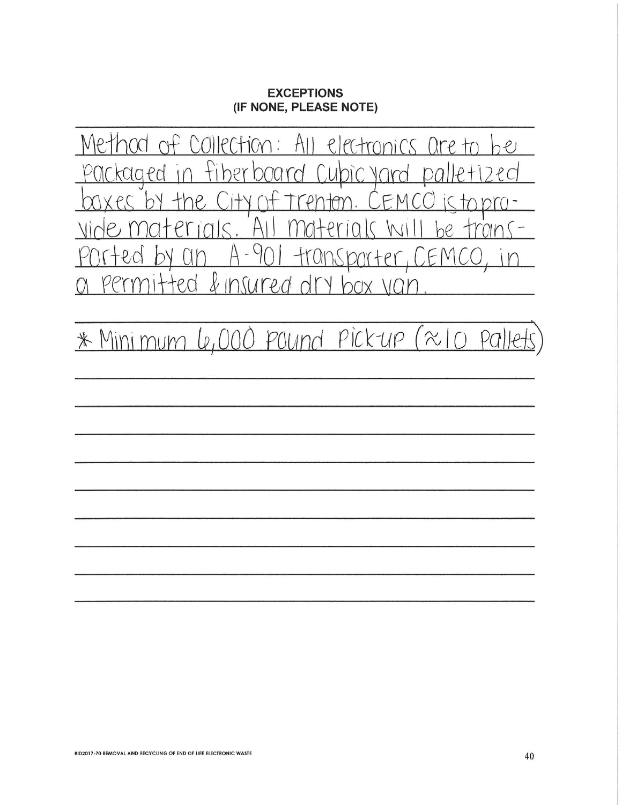# **EXCEPTIONS** (IF NONE, PLEASE NOTE)

Method of Collection: ectronics are to  $hgl$ H kaaed D ₽ ₽ 71  $\sqrt{2}$ m  $\varphi$  $\varphi$  $\uparrow$ T / Y porte  $+101$ V & insured dr  $P<sub>l</sub>$ 

Le,000 pound pick-up  $\approx$   $\mid$ \* Mini mum  $PQ$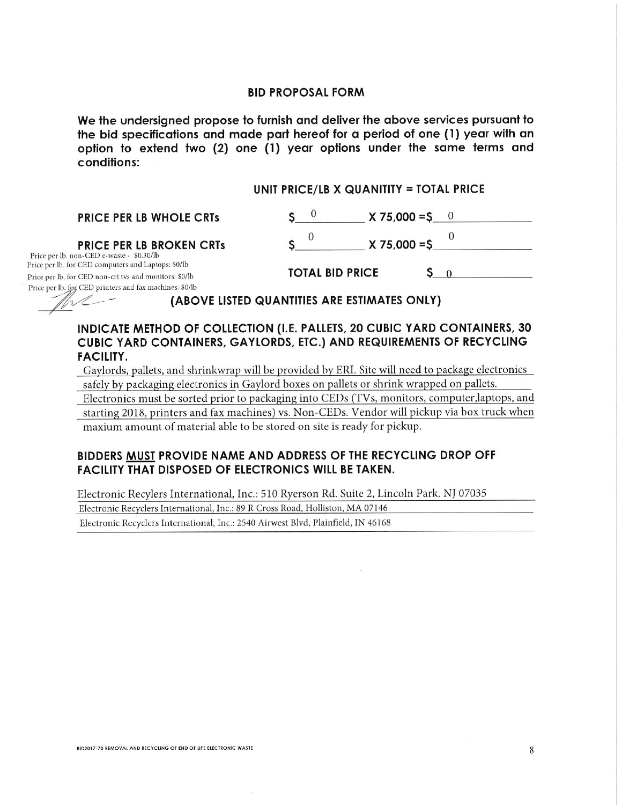#### **BID PROPOSAL FORM**

We the undersigned propose to furnish and deliver the above services pursuant to the bid specifications and made part hereof for a period of one (1) year with an option to extend two (2) one (1) year options under the same terms and conditions:

 $S^0$ 

#### UNIT PRICE/LB X QUANITITY = TOTAL PRICE

**PRICE PER LB WHOLE CRTs** 

#### **PRICE PER LB BROKEN CRTs**

Price per lb. non-CED e-waste - \$0.30/lb Price per lb. for CED computers and Laptops: \$0/lb Price per lb. for CED non-crt tvs and monitors: \$0/lb Price per lb. for CED printers and fax machines: \$0/lb

|                        | $X 75,000 = $$ |  |
|------------------------|----------------|--|
| <b>TOTAL BID PRICE</b> |                |  |

 $X 75,000 = S$  0

(ABOVE LISTED QUANTITIES ARE ESTIMATES ONLY)

# INDICATE METHOD OF COLLECTION (I.E. PALLETS, 20 CUBIC YARD CONTAINERS, 30 CUBIC YARD CONTAINERS, GAYLORDS, ETC.) AND REQUIREMENTS OF RECYCLING **FACILITY.**

Gaylords, pallets, and shrinkwrap will be provided by ERI. Site will need to package electronics safely by packaging electronics in Gaylord boxes on pallets or shrink wrapped on pallets.

Electronics must be sorted prior to packaging into CEDs (TVs, monitors, computer, laptops, and starting 2018, printers and fax machines) vs. Non-CEDs. Vendor will pickup via box truck when maxium amount of material able to be stored on site is ready for pickup.

## BIDDERS MUST PROVIDE NAME AND ADDRESS OF THE RECYCLING DROP OFF **FACILITY THAT DISPOSED OF ELECTRONICS WILL BE TAKEN.**

Electronic Recylers International, Inc.: 510 Ryerson Rd. Suite 2, Lincoln Park. NJ 07035

Electronic Recyclers International, Inc.: 89 R Cross Road, Holliston, MA 07146

Electronic Recyclers International, Inc.: 2540 Airwest Blvd, Plainfield, IN 46168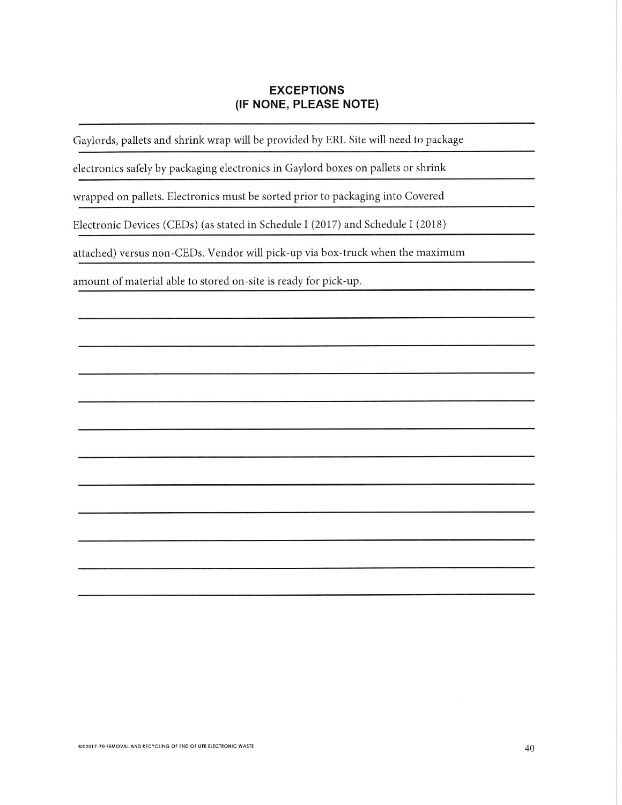# **EXCEPTIONS** (IF NONE, PLEASE NOTE)

Gaylords, pallets and shrink wrap will be provided by ERI. Site will need to package

electronics safely by packaging electronics in Gaylord boxes on pallets or shrink

wrapped on pallets. Electronics must be sorted prior to packaging into Covered

Electronic Devices (CEDs) (as stated in Schedule I (2017) and Schedule I (2018)

attached) versus non-CEDs. Vendor will pick-up via box-truck when the maximum

amount of material able to stored on-site is ready for pick-up.